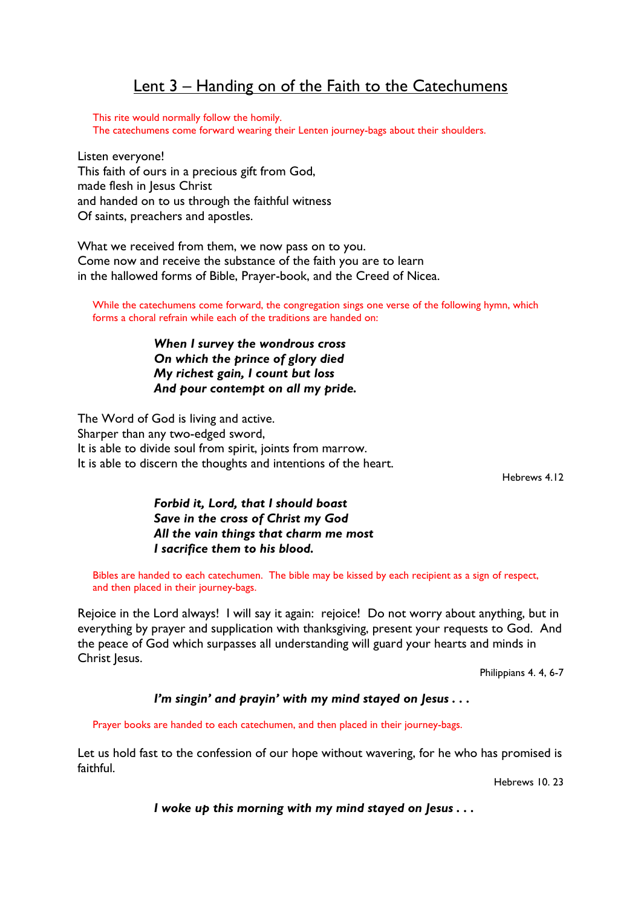## Lent 3 – Handing on of the Faith to the Catechumens

 This rite would normally follow the homily. The catechumens come forward wearing their Lenten journey-bags about their shoulders.

Listen everyone! This faith of ours in a precious gift from God, made flesh in Jesus Christ and handed on to us through the faithful witness Of saints, preachers and apostles.

What we received from them, we now pass on to you. Come now and receive the substance of the faith you are to learn in the hallowed forms of Bible, Prayer-book, and the Creed of Nicea.

While the catechumens come forward, the congregation sings one verse of the following hymn, which forms a choral refrain while each of the traditions are handed on:

> When I survey the wondrous cross On which the prince of glory died My richest gain, I count but loss And pour contempt on all my pride.

The Word of God is living and active. Sharper than any two-edged sword, It is able to divide soul from spirit, joints from marrow. It is able to discern the thoughts and intentions of the heart.

Hebrews 4.12

## Forbid it, Lord, that I should boast Save in the cross of Christ my God All the vain things that charm me most I sacrifice them to his blood.

Bibles are handed to each catechumen. The bible may be kissed by each recipient as a sign of respect, and then placed in their journey-bags.

Rejoice in the Lord always! I will say it again: rejoice! Do not worry about anything, but in everything by prayer and supplication with thanksgiving, present your requests to God. And the peace of God which surpasses all understanding will guard your hearts and minds in Christ Iesus.

Philippians 4. 4, 6-7

## I'm singin' and prayin' with my mind stayed on Jesus . . .

Prayer books are handed to each catechumen, and then placed in their journey-bags.

Let us hold fast to the confession of our hope without wavering, for he who has promised is faithful.

Hebrews 10. 23

I woke up this morning with my mind stayed on Jesus . . .